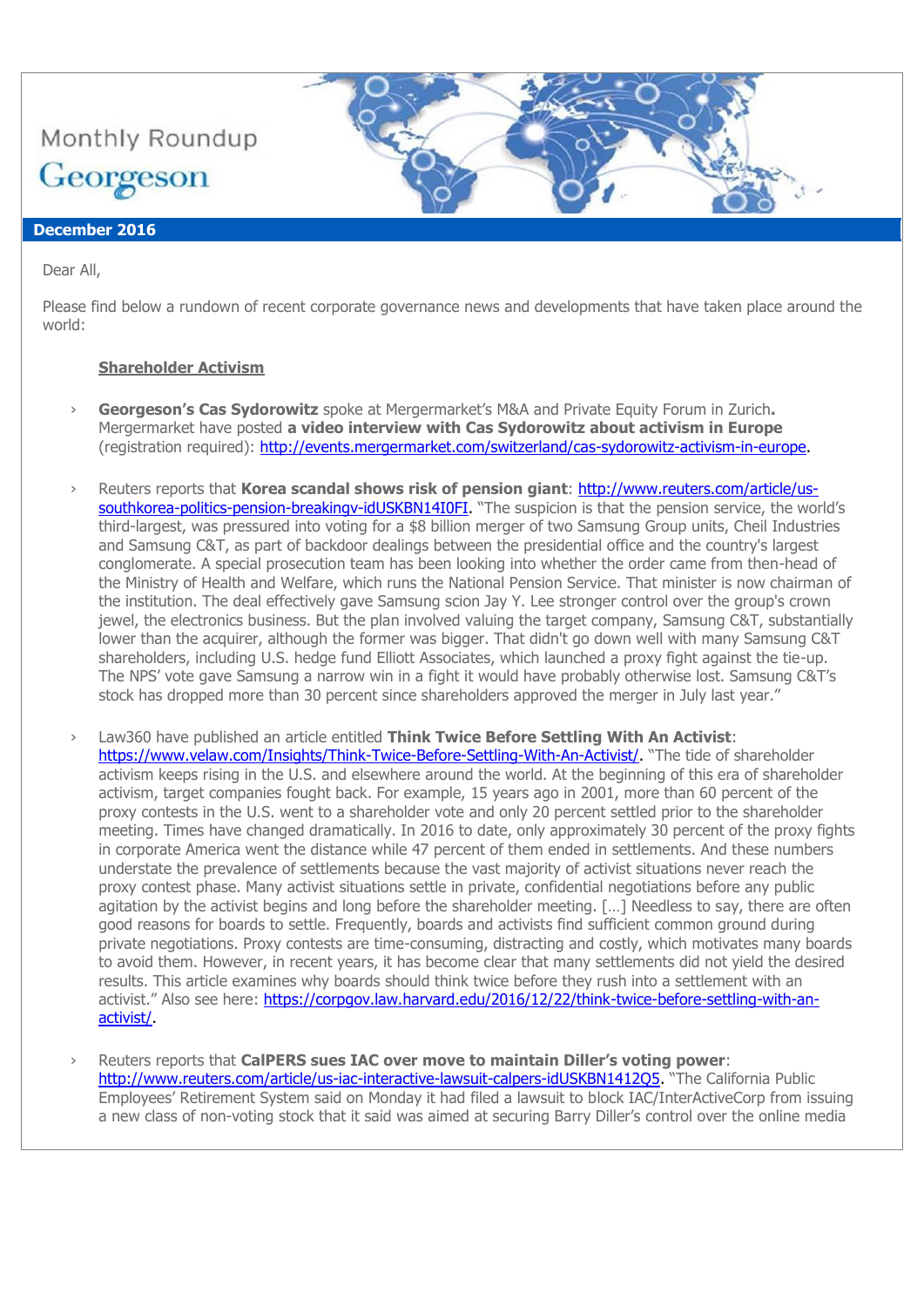

# **December 2016**

Dear All,

Please find below a rundown of recent corporate governance news and developments that have taken place around the world:

## **Shareholder Activism**

- › **Georgeson's Cas Sydorowitz** spoke at Mergermarket's M&A and Private Equity Forum in Zurich**.** Mergermarket have posted **a video interview with Cas Sydorowitz about activism in Europe** (registration required): [http://events.mergermarket.com/switzerland/cas-sydorowitz-activism-in-europe.](http://events.mergermarket.com/switzerland/cas-sydorowitz-activism-in-europe)
- › Reuters reports that **Korea scandal shows risk of pension giant**: [http://www.reuters.com/article/us](http://www.reuters.com/article/us-southkorea-politics-pension-breakingv-idUSKBN14I0FI)southkorea-politics-pension-breakingy-idUSKBN14I0FI. "The suspicion is that the pension service, the world's third-largest, was pressured into voting for a \$8 billion merger of two Samsung Group units, Cheil Industries and Samsung C&T, as part of backdoor dealings between the presidential office and the country's largest conglomerate. A special prosecution team has been looking into whether the order came from then-head of the Ministry of Health and Welfare, which runs the National Pension Service. That minister is now chairman of the institution. The deal effectively gave Samsung scion Jay Y. Lee stronger control over the group's crown jewel, the electronics business. But the plan involved valuing the target company, Samsung C&T, substantially lower than the acquirer, although the former was bigger. That didn't go down well with many Samsung C&T shareholders, including U.S. hedge fund Elliott Associates, which launched a proxy fight against the tie-up. The NPS' vote gave Samsung a narrow win in a fight it would have probably otherwise lost. Samsung C&T's stock has dropped more than 30 percent since shareholders approved the merger in July last year."
- Law360 have published an article entitled **Think Twice Before Settling With An Activist:** [https://www.velaw.com/Insights/Think-Twice-Before-Settling-With-An-Activist/.](https://www.velaw.com/Insights/Think-Twice-Before-Settling-With-An-Activist/) "The tide of shareholder activism keeps rising in the U.S. and elsewhere around the world. At the beginning of this era of shareholder activism, target companies fought back. For example, 15 years ago in 2001, more than 60 percent of the proxy contests in the U.S. went to a shareholder vote and only 20 percent settled prior to the shareholder meeting. Times have changed dramatically. In 2016 to date, only approximately 30 percent of the proxy fights in corporate America went the distance while 47 percent of them ended in settlements. And these numbers understate the prevalence of settlements because the vast majority of activist situations never reach the proxy contest phase. Many activist situations settle in private, confidential negotiations before any public agitation by the activist begins and long before the shareholder meeting. […] Needless to say, there are often good reasons for boards to settle. Frequently, boards and activists find sufficient common ground during private negotiations. Proxy contests are time-consuming, distracting and costly, which motivates many boards to avoid them. However, in recent years, it has become clear that many settlements did not yield the desired results. This article examines why boards should think twice before they rush into a settlement with an activist." Also see here: [https://corpgov.law.harvard.edu/2016/12/22/think-twice-before-settling-with-an](https://corpgov.law.harvard.edu/2016/12/22/think-twice-before-settling-with-an-activist/)[activist/.](https://corpgov.law.harvard.edu/2016/12/22/think-twice-before-settling-with-an-activist/)
- Reuters reports that CalPERS sues IAC over move to maintain Diller's voting power: [http://www.reuters.com/article/us-iac-interactive-lawsuit-calpers-idUSKBN1412Q5.](http://www.reuters.com/article/us-iac-interactive-lawsuit-calpers-idUSKBN1412Q5) "The California Public Employees' Retirement System said on Monday it had filed a lawsuit to block IAC/InterActiveCorp from issuing a new class of non-voting stock that it said was aimed at securing Barry Diller's control over the online media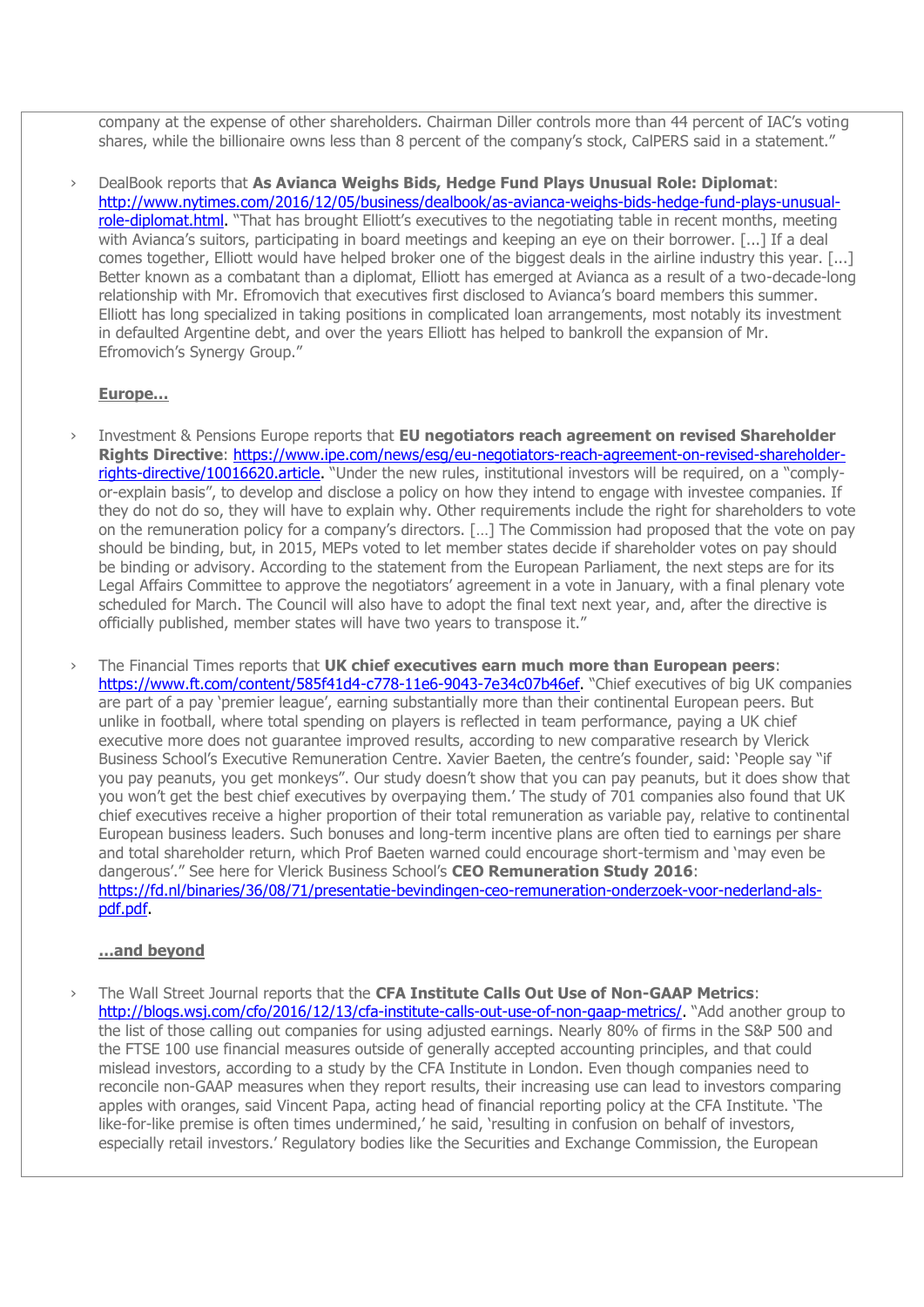company at the expense of other shareholders. Chairman Diller controls more than 44 percent of IAC's voting shares, while the billionaire owns less than 8 percent of the company's stock, CalPERS said in a statement."

› DealBook reports that **As Avianca Weighs Bids, Hedge Fund Plays Unusual Role: Diplomat**: [http://www.nytimes.com/2016/12/05/business/dealbook/as-avianca-weighs-bids-hedge-fund-plays-unusual](http://www.nytimes.com/2016/12/05/business/dealbook/as-avianca-weighs-bids-hedge-fund-plays-unusual-role-diplomat.html)[role-diplomat.html.](http://www.nytimes.com/2016/12/05/business/dealbook/as-avianca-weighs-bids-hedge-fund-plays-unusual-role-diplomat.html) "That has brought Elliott's executives to the negotiating table in recent months, meeting with Avianca's suitors, participating in board meetings and keeping an eye on their borrower. [...] If a deal comes together, Elliott would have helped broker one of the biggest deals in the airline industry this year. [...] Better known as a combatant than a diplomat, Elliott has emerged at Avianca as a result of a two-decade-long relationship with Mr. Efromovich that executives first disclosed to Avianca's board members this summer. Elliott has long specialized in taking positions in complicated loan arrangements, most notably its investment in defaulted Argentine debt, and over the years Elliott has helped to bankroll the expansion of Mr. Efromovich's Synergy Group."

### **Europe…**

- › Investment & Pensions Europe reports that **EU negotiators reach agreement on revised Shareholder Rights Directive**: [https://www.ipe.com/news/esg/eu-negotiators-reach-agreement-on-revised-shareholder](https://www.ipe.com/news/esg/eu-negotiators-reach-agreement-on-revised-shareholder-rights-directive/10016620.article)[rights-directive/10016620.article.](https://www.ipe.com/news/esg/eu-negotiators-reach-agreement-on-revised-shareholder-rights-directive/10016620.article) "Under the new rules, institutional investors will be required, on a "complyor-explain basis", to develop and disclose a policy on how they intend to engage with investee companies. If they do not do so, they will have to explain why. Other requirements include the right for shareholders to vote on the remuneration policy for a company's directors. […] The Commission had proposed that the vote on pay should be binding, but, in 2015, MEPs voted to let member states decide if shareholder votes on pay should be binding or advisory. According to the statement from the European Parliament, the next steps are for its Legal Affairs Committee to approve the negotiators' agreement in a vote in January, with a final plenary vote scheduled for March. The Council will also have to adopt the final text next year, and, after the directive is officially published, member states will have two years to transpose it."
- › The Financial Times reports that **UK chief executives earn much more than European peers**: [https://www.ft.com/content/585f41d4-c778-11e6-9043-7e34c07b46ef.](https://www.ft.com/content/585f41d4-c778-11e6-9043-7e34c07b46ef) "Chief executives of big UK companies are part of a pay 'premier league', earning substantially more than their continental European peers. But unlike in football, where total spending on players is reflected in team performance, paying a UK chief executive more does not guarantee improved results, according to new comparative research by Vlerick Business School's Executive Remuneration Centre. Xavier Baeten, the centre's founder, said: 'People say "if you pay peanuts, you get monkeys". Our study doesn't show that you can pay peanuts, but it does show that you won't get the best chief executives by overpaying them.' The study of 701 companies also found that UK chief executives receive a higher proportion of their total remuneration as variable pay, relative to continental European business leaders. Such bonuses and long-term incentive plans are often tied to earnings per share and total shareholder return, which Prof Baeten warned could encourage short-termism and 'may even be dangerous'." See here for Vlerick Business School's **CEO Remuneration Study 2016**: [https://fd.nl/binaries/36/08/71/presentatie-bevindingen-ceo-remuneration-onderzoek-voor-nederland-als](https://fd.nl/binaries/36/08/71/presentatie-bevindingen-ceo-remuneration-onderzoek-voor-nederland-als-pdf.pdf)[pdf.pdf.](https://fd.nl/binaries/36/08/71/presentatie-bevindingen-ceo-remuneration-onderzoek-voor-nederland-als-pdf.pdf)

### **…and beyond**

› The Wall Street Journal reports that the **CFA Institute Calls Out Use of Non-GAAP Metrics**: [http://blogs.wsj.com/cfo/2016/12/13/cfa-institute-calls-out-use-of-non-gaap-metrics/.](http://blogs.wsj.com/cfo/2016/12/13/cfa-institute-calls-out-use-of-non-gaap-metrics/) "Add another group to the list of those calling out companies for using adjusted earnings. Nearly 80% of firms in the S&P 500 and the FTSE 100 use financial measures outside of generally accepted accounting principles, and that could mislead investors, according to a study by the CFA Institute in London. Even though companies need to reconcile non-GAAP measures when they report results, their increasing use can lead to investors comparing apples with oranges, said Vincent Papa, acting head of financial reporting policy at the CFA Institute. 'The like-for-like premise is often times undermined,' he said, 'resulting in confusion on behalf of investors, especially retail investors.' Regulatory bodies like the Securities and Exchange Commission, the European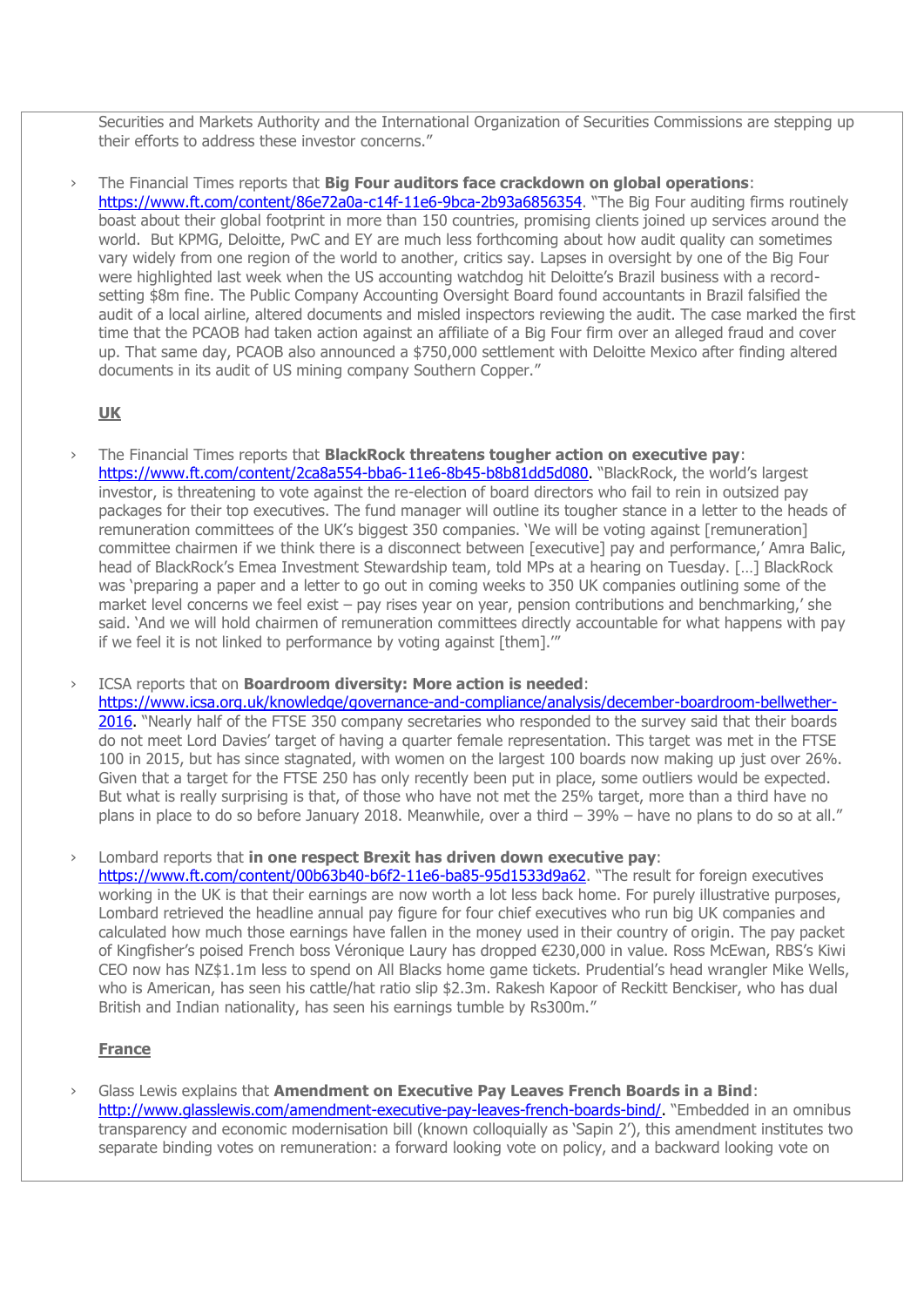Securities and Markets Authority and the International Organization of Securities Commissions are stepping up their efforts to address these investor concerns."

› The Financial Times reports that **Big Four auditors face crackdown on global operations**: <https://www.ft.com/content/86e72a0a-c14f-11e6-9bca-2b93a6856354>. "The Big Four auditing firms routinely boast about their global footprint in more than 150 countries, promising clients joined up services around the world. But KPMG, Deloitte, PwC and EY are much less forthcoming about how audit quality can sometimes vary widely from one region of the world to another, critics say. Lapses in oversight by one of the Big Four were highlighted last week when the US accounting watchdog hit Deloitte's Brazil business with a recordsetting \$8m fine. The Public Company Accounting Oversight Board found accountants in Brazil falsified the audit of a local airline, altered documents and misled inspectors reviewing the audit. The case marked the first time that the PCAOB had taken action against an affiliate of a Big Four firm over an alleged fraud and cover up. That same day, PCAOB also announced a \$750,000 settlement with Deloitte Mexico after finding altered documents in its audit of US mining company Southern Copper."

## **UK**

› The Financial Times reports that **BlackRock threatens tougher action on executive pay**: [https://www.ft.com/content/2ca8a554-bba6-11e6-8b45-b8b81dd5d080.](https://www.ft.com/content/2ca8a554-bba6-11e6-8b45-b8b81dd5d080) "BlackRock, the world's largest investor, is threatening to vote against the re-election of board directors who fail to rein in outsized pay packages for their top executives. The fund manager will outline its tougher stance in a letter to the heads of remuneration committees of the UK's biggest 350 companies. 'We will be voting against [remuneration] committee chairmen if we think there is a disconnect between [executive] pay and performance,' Amra Balic, head of BlackRock's Emea Investment Stewardship team, told MPs at a hearing on Tuesday. […] BlackRock was 'preparing a paper and a letter to go out in coming weeks to 350 UK companies outlining some of the market level concerns we feel exist – pay rises year on year, pension contributions and benchmarking,' she said. 'And we will hold chairmen of remuneration committees directly accountable for what happens with pay if we feel it is not linked to performance by voting against [them].'"

› ICSA reports that on **Boardroom diversity: More action is needed**:

[https://www.icsa.org.uk/knowledge/governance-and-compliance/analysis/december-boardroom-bellwether-](https://www.icsa.org.uk/knowledge/governance-and-compliance/analysis/december-boardroom-bellwether-2016)[2016.](https://www.icsa.org.uk/knowledge/governance-and-compliance/analysis/december-boardroom-bellwether-2016) "Nearly half of the FTSE 350 company secretaries who responded to the survey said that their boards do not meet Lord Davies' target of having a quarter female representation. This target was met in the FTSE 100 in 2015, but has since stagnated, with women on the largest 100 boards now making up just over 26%. Given that a target for the FTSE 250 has only recently been put in place, some outliers would be expected. But what is really surprising is that, of those who have not met the 25% target, more than a third have no plans in place to do so before January 2018. Meanwhile, over a third – 39% – have no plans to do so at all."

› Lombard reports that **in one respect Brexit has driven down executive pay**: <https://www.ft.com/content/00b63b40-b6f2-11e6-ba85-95d1533d9a62>. "The result for foreign executives working in the UK is that their earnings are now worth a lot less back home. For purely illustrative purposes, Lombard retrieved the headline annual pay figure for four chief executives who run big UK companies and calculated how much those earnings have fallen in the money used in their country of origin. The pay packet of Kingfisher's poised French boss Véronique Laury has dropped €230,000 in value. Ross McEwan, RBS's Kiwi CEO now has NZ\$1.1m less to spend on All Blacks home game tickets. Prudential's head wrangler Mike Wells, who is American, has seen his cattle/hat ratio slip \$2.3m. Rakesh Kapoor of Reckitt Benckiser, who has dual British and Indian nationality, has seen his earnings tumble by Rs300m."

# **France**

› Glass Lewis explains that **Amendment on Executive Pay Leaves French Boards in a Bind**: [http://www.glasslewis.com/amendment-executive-pay-leaves-french-boards-bind/.](http://www.glasslewis.com/amendment-executive-pay-leaves-french-boards-bind/) "Embedded in an omnibus transparency and economic modernisation bill (known colloquially as 'Sapin 2'), this amendment institutes two separate binding votes on remuneration: a forward looking vote on policy, and a backward looking vote on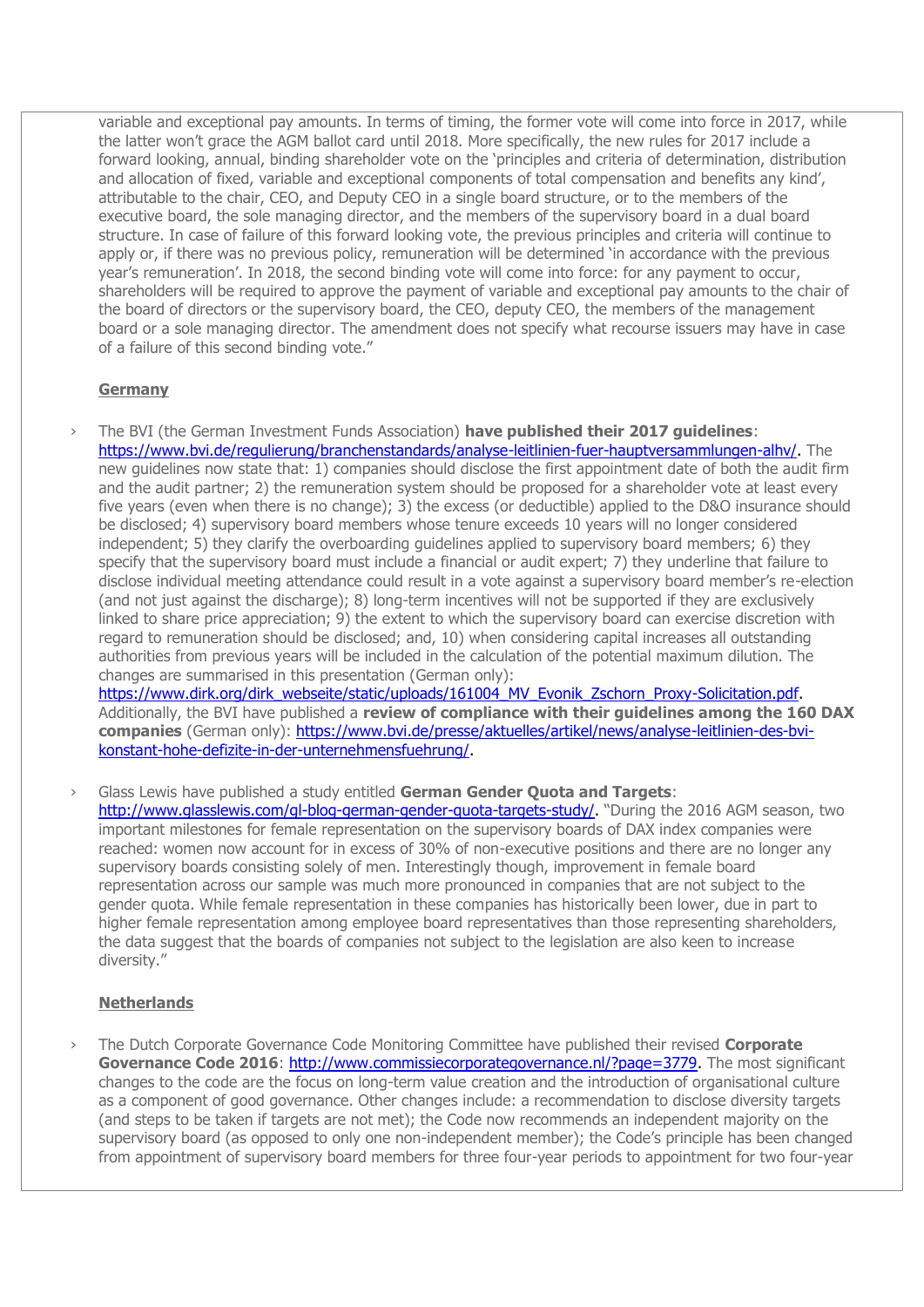variable and exceptional pay amounts. In terms of timing, the former vote will come into force in 2017, while the latter won't grace the AGM ballot card until 2018. More specifically, the new rules for 2017 include a forward looking, annual, binding shareholder vote on the 'principles and criteria of determination, distribution and allocation of fixed, variable and exceptional components of total compensation and benefits any kind', attributable to the chair, CEO, and Deputy CEO in a single board structure, or to the members of the executive board, the sole managing director, and the members of the supervisory board in a dual board structure. In case of failure of this forward looking vote, the previous principles and criteria will continue to apply or, if there was no previous policy, remuneration will be determined 'in accordance with the previous year's remuneration'. In 2018, the second binding vote will come into force: for any payment to occur, shareholders will be required to approve the payment of variable and exceptional pay amounts to the chair of the board of directors or the supervisory board, the CEO, deputy CEO, the members of the management board or a sole managing director. The amendment does not specify what recourse issuers may have in case of a failure of this second binding vote."

# **Germany**

› The BVI (the German Investment Funds Association) **have published their 2017 guidelines**: [https://www.bvi.de/regulierung/branchenstandards/analyse-leitlinien-fuer-hauptversammlungen-alhv/.](https://www.bvi.de/regulierung/branchenstandards/analyse-leitlinien-fuer-hauptversammlungen-alhv/) The new guidelines now state that: 1) companies should disclose the first appointment date of both the audit firm and the audit partner; 2) the remuneration system should be proposed for a shareholder vote at least every five years (even when there is no change); 3) the excess (or deductible) applied to the D&O insurance should be disclosed; 4) supervisory board members whose tenure exceeds 10 years will no longer considered independent; 5) they clarify the overboarding guidelines applied to supervisory board members; 6) they specify that the supervisory board must include a financial or audit expert; 7) they underline that failure to disclose individual meeting attendance could result in a vote against a supervisory board member's re-election (and not just against the discharge); 8) long-term incentives will not be supported if they are exclusively linked to share price appreciation; 9) the extent to which the supervisory board can exercise discretion with regard to remuneration should be disclosed; and, 10) when considering capital increases all outstanding authorities from previous years will be included in the calculation of the potential maximum dilution. The changes are summarised in this presentation (German only):

[https://www.dirk.org/dirk\\_webseite/static/uploads/161004\\_MV\\_Evonik\\_Zschorn\\_Proxy-Solicitation.pdf.](https://www.dirk.org/dirk_webseite/static/uploads/161004_MV_Evonik_Zschorn_Proxy-Solicitation.pdf) Additionally, the BVI have published a **review of compliance with their guidelines among the 160 DAX companies** (German only): [https://www.bvi.de/presse/aktuelles/artikel/news/analyse-leitlinien-des-bvi](https://www.bvi.de/presse/aktuelles/artikel/news/analyse-leitlinien-des-bvi-konstant-hohe-defizite-in-der-unternehmensfuehrung/)[konstant-hohe-defizite-in-der-unternehmensfuehrung/.](https://www.bvi.de/presse/aktuelles/artikel/news/analyse-leitlinien-des-bvi-konstant-hohe-defizite-in-der-unternehmensfuehrung/)

› Glass Lewis have published a study entitled **German Gender Quota and Targets**: [http://www.glasslewis.com/gl-blog-german-gender-quota-targets-study/.](http://www.glasslewis.com/gl-blog-german-gender-quota-targets-study/) "During the 2016 AGM season, two important milestones for female representation on the supervisory boards of DAX index companies were reached: women now account for in excess of 30% of non-executive positions and there are no longer any supervisory boards consisting solely of men. Interestingly though, improvement in female board representation across our sample was much more pronounced in companies that are not subject to the gender quota. While female representation in these companies has historically been lower, due in part to higher female representation among employee board representatives than those representing shareholders, the data suggest that the boards of companies not subject to the legislation are also keen to increase diversity."

# **Netherlands**

› The Dutch Corporate Governance Code Monitoring Committee have published their revised **Corporate**  Governance Code 2016: [http://www.commissiecorporategovernance.nl/?page=3779.](http://www.commissiecorporategovernance.nl/?page=3779) The most significant changes to the code are the focus on long-term value creation and the introduction of organisational culture as a component of good governance. Other changes include: a recommendation to disclose diversity targets (and steps to be taken if targets are not met); the Code now recommends an independent majority on the supervisory board (as opposed to only one non-independent member); the Code's principle has been changed from appointment of supervisory board members for three four-year periods to appointment for two four-year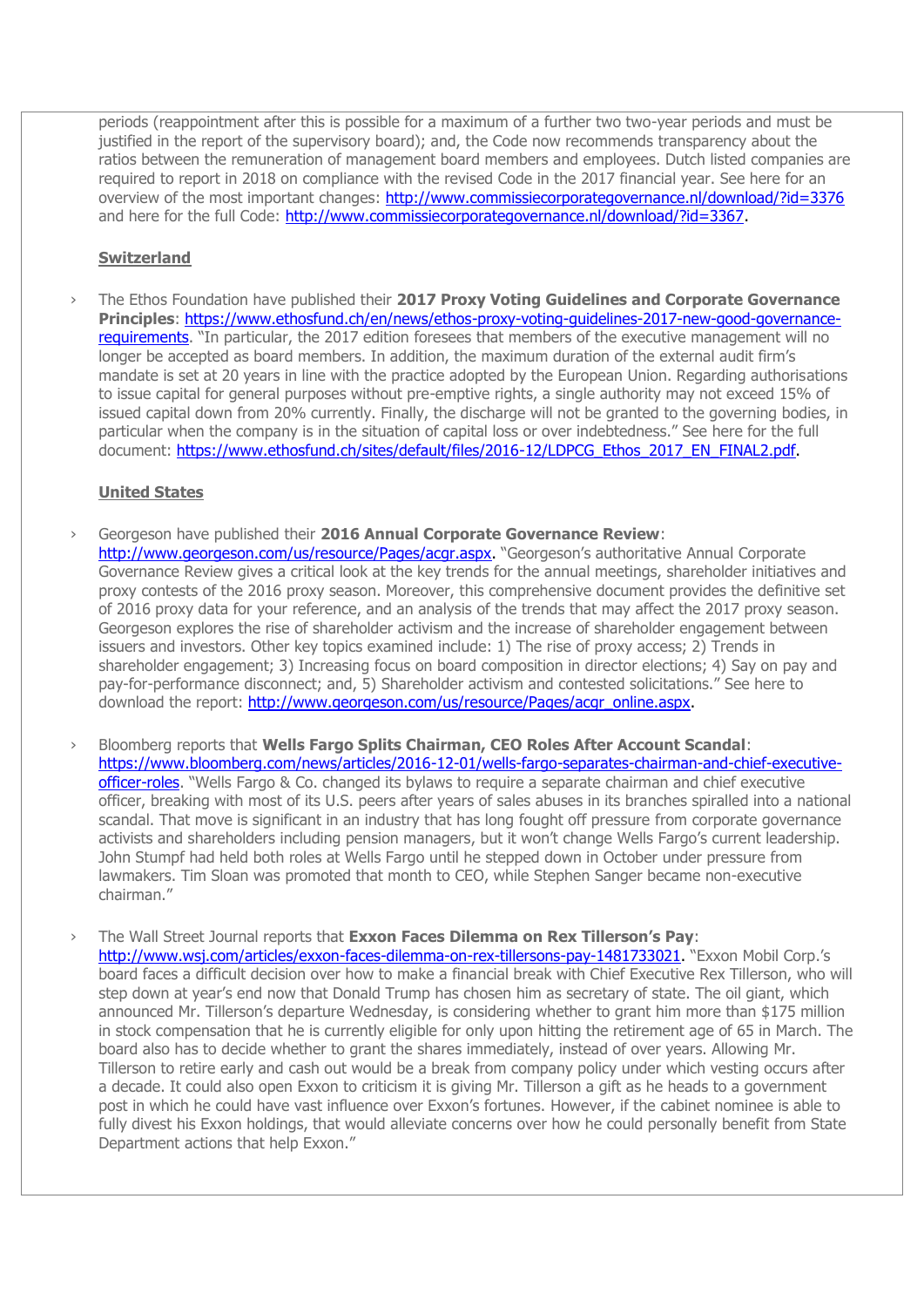periods (reappointment after this is possible for a maximum of a further two two-year periods and must be justified in the report of the supervisory board); and, the Code now recommends transparency about the ratios between the remuneration of management board members and employees. Dutch listed companies are required to report in 2018 on compliance with the revised Code in the 2017 financial year. See here for an overview of the most important changes: <http://www.commissiecorporategovernance.nl/download/?id=3376> and here for the full Code: [http://www.commissiecorporategovernance.nl/download/?id=3367.](http://www.commissiecorporategovernance.nl/download/?id=3367)

## **Switzerland**

› The Ethos Foundation have published their **2017 Proxy Voting Guidelines and Corporate Governance Principles**: [https://www.ethosfund.ch/en/news/ethos-proxy-voting-guidelines-2017-new-good-governance](https://www.ethosfund.ch/en/news/ethos-proxy-voting-guidelines-2017-new-good-governance-requirements)[requirements](https://www.ethosfund.ch/en/news/ethos-proxy-voting-guidelines-2017-new-good-governance-requirements). "In particular, the 2017 edition foresees that members of the executive management will no longer be accepted as board members. In addition, the maximum duration of the external audit firm's mandate is set at 20 years in line with the practice adopted by the European Union. Regarding authorisations to issue capital for general purposes without pre-emptive rights, a single authority may not exceed 15% of issued capital down from 20% currently. Finally, the discharge will not be granted to the governing bodies, in particular when the company is in the situation of capital loss or over indebtedness." See here for the full document: [https://www.ethosfund.ch/sites/default/files/2016-12/LDPCG\\_Ethos\\_2017\\_EN\\_FINAL2.pdf.](https://www.ethosfund.ch/sites/default/files/2016-12/LDPCG_Ethos_2017_EN_FINAL2.pdf)

### **United States**

- › Georgeson have published their **2016 Annual Corporate Governance Review**: [http://www.georgeson.com/us/resource/Pages/acgr.aspx.](http://www.georgeson.com/us/resource/Pages/acgr.aspx) "Georgeson's authoritative Annual Corporate Governance Review gives a critical look at the key trends for the annual meetings, shareholder initiatives and proxy contests of the 2016 proxy season. Moreover, this comprehensive document provides the definitive set of 2016 proxy data for your reference, and an analysis of the trends that may affect the 2017 proxy season. Georgeson explores the rise of shareholder activism and the increase of shareholder engagement between issuers and investors. Other key topics examined include: 1) The rise of proxy access; 2) Trends in shareholder engagement; 3) Increasing focus on board composition in director elections; 4) Say on pay and pay-for-performance disconnect; and, 5) Shareholder activism and contested solicitations." See here to download the report: [http://www.georgeson.com/us/resource/Pages/acgr\\_online.aspx.](http://www.georgeson.com/us/resource/Pages/acgr_online.aspx)
- › Bloomberg reports that **Wells Fargo Splits Chairman, CEO Roles After Account Scandal**: [https://www.bloomberg.com/news/articles/2016-12-01/wells-fargo-separates-chairman-and-chief-executive](https://www.bloomberg.com/news/articles/2016-12-01/wells-fargo-separates-chairman-and-chief-executive-officer-roles)[officer-roles](https://www.bloomberg.com/news/articles/2016-12-01/wells-fargo-separates-chairman-and-chief-executive-officer-roles). "Wells Fargo & Co. changed its bylaws to require a separate chairman and chief executive officer, breaking with most of its U.S. peers after years of sales abuses in its branches spiralled into a national scandal. That move is significant in an industry that has long fought off pressure from corporate governance activists and shareholders including pension managers, but it won't change Wells Fargo's current leadership. John Stumpf had held both roles at Wells Fargo until he stepped down in October under pressure from lawmakers. Tim Sloan was promoted that month to CEO, while Stephen Sanger became non-executive chairman."
- › The Wall Street Journal reports that **Exxon Faces Dilemma on Rex Tillerson's Pay**: [http://www.wsj.com/articles/exxon-faces-dilemma-on-rex-tillersons-pay-1481733021.](http://www.wsj.com/articles/exxon-faces-dilemma-on-rex-tillersons-pay-1481733021) "Exxon Mobil Corp.'s board faces a difficult decision over how to make a financial break with Chief Executive Rex Tillerson, who will step down at year's end now that Donald Trump has chosen him as secretary of state. The oil giant, which announced Mr. Tillerson's departure Wednesday, is considering whether to grant him more than \$175 million in stock compensation that he is currently eligible for only upon hitting the retirement age of 65 in March. The board also has to decide whether to grant the shares immediately, instead of over years. Allowing Mr. Tillerson to retire early and cash out would be a break from company policy under which vesting occurs after a decade. It could also open Exxon to criticism it is giving Mr. Tillerson a gift as he heads to a government post in which he could have vast influence over Exxon's fortunes. However, if the cabinet nominee is able to fully divest his Exxon holdings, that would alleviate concerns over how he could personally benefit from State Department actions that help Exxon."